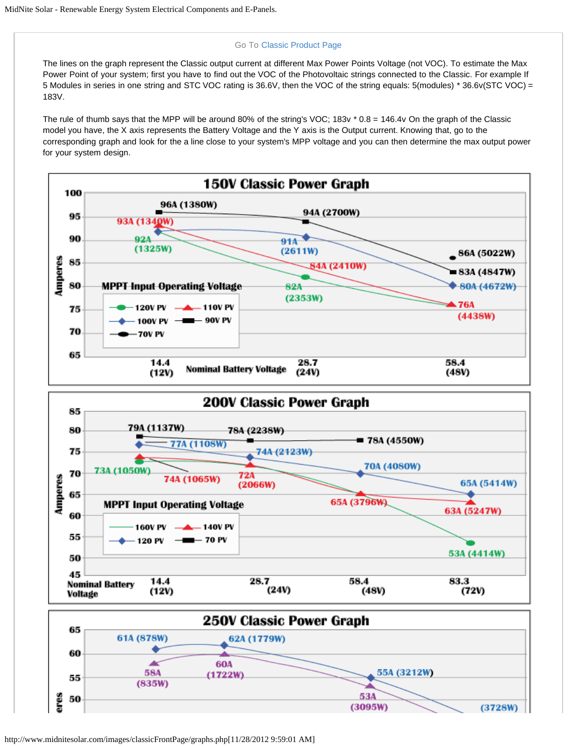## Go To [Classic Product Page](http://www.midnitesolar.com/products.php?menuItem=products&productCat_ID=21&productCatName=Charge Controllers)

The lines on the graph represent the Classic output current at different Max Power Points Voltage (not VOC). To estimate the Max Power Point of your system; first you have to find out the VOC of the Photovoltaic strings connected to the Classic. For example If 5 Modules in series in one string and STC VOC rating is 36.6V, then the VOC of the string equals: 5(modules) \* 36.6v(STC VOC) = 183V.

The rule of thumb says that the MPP will be around 80% of the string's VOC; 183v  $*$  0.8 = 146.4v On the graph of the Classic model you have, the X axis represents the Battery Voltage and the Y axis is the Output current. Knowing that, go to the corresponding graph and look for the a line close to your system's MPP voltage and you can then determine the max output power for your system design.



http://www.midnitesolar.com/images/classicFrontPage/graphs.php[11/28/2012 9:59:01 AM]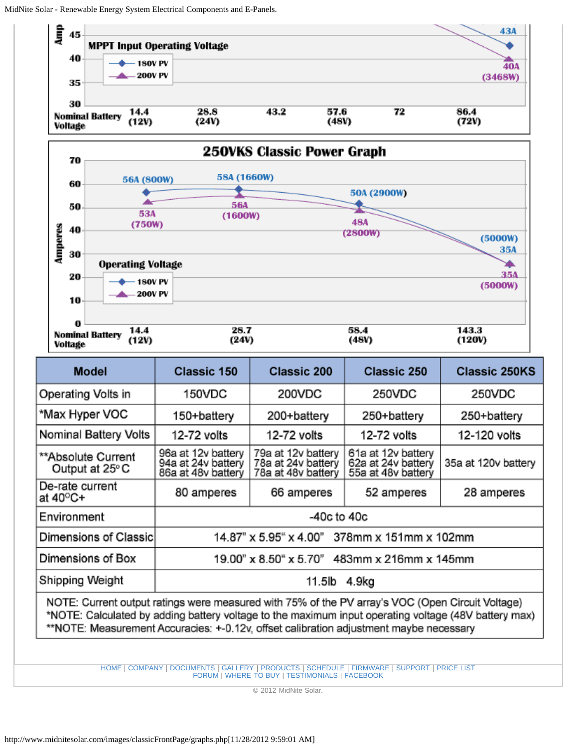

[HOME](http://www.midnitesolar.com/index.php) | [COMPANY](http://www.midnitesolar.com/company.php) | [DOCUMENTS](http://www.midnitesolar.com/documentIndex.php) | [GALLERY](http://www.midnitesolar.com/galleryIndex.php) | [PRODUCTS](http://www.midnitesolar.com/productCat.php) | [SCHEDULE](http://www.midnitesolar.com/schedule.php) | [FIRMWARE](http://www.midnitesolar.com/firmware.php) | [SUPPORT](http://www.midnitesolar.com/support.php) | [PRICE LIST](http://www.midnitesolar.com/printPriceList.php) [FORUM](http://www.midnitesolar.com/smf_forum/index.php) | [WHERE TO BUY](http://www.midnitesolar.com/distributors_stocking.php) | [TESTIMONIALS](http://www.midnitesolar.com/testimonials.php) | [FACEBOOK](http://www.facebook.com/pages/MidNite-Solar-Inc/193581257325291)

© 2012 MidNite Solar.